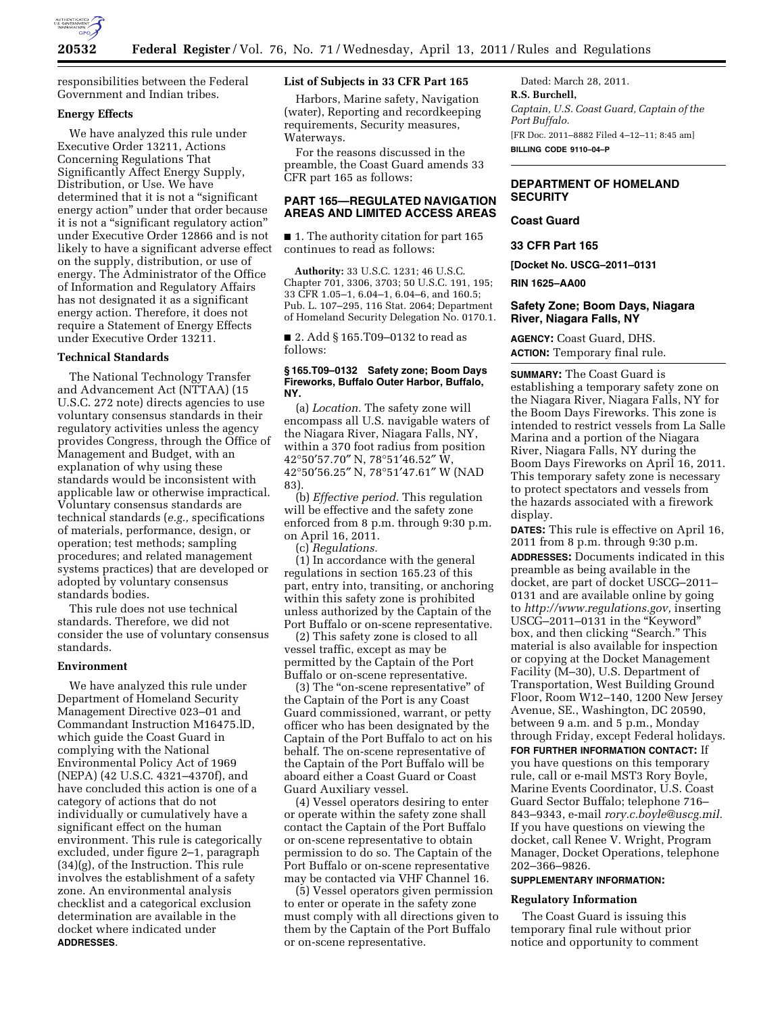

responsibilities between the Federal Government and Indian tribes.

# **Energy Effects**

We have analyzed this rule under Executive Order 13211, Actions Concerning Regulations That Significantly Affect Energy Supply, Distribution, or Use. We have determined that it is not a "significant" energy action'' under that order because it is not a "significant regulatory action" under Executive Order 12866 and is not likely to have a significant adverse effect on the supply, distribution, or use of energy. The Administrator of the Office of Information and Regulatory Affairs has not designated it as a significant energy action. Therefore, it does not require a Statement of Energy Effects under Executive Order 13211.

#### **Technical Standards**

The National Technology Transfer and Advancement Act (NTTAA) (15 U.S.C. 272 note) directs agencies to use voluntary consensus standards in their regulatory activities unless the agency provides Congress, through the Office of Management and Budget, with an explanation of why using these standards would be inconsistent with applicable law or otherwise impractical. Voluntary consensus standards are technical standards (*e.g.,* specifications of materials, performance, design, or operation; test methods; sampling procedures; and related management systems practices) that are developed or adopted by voluntary consensus standards bodies.

This rule does not use technical standards. Therefore, we did not consider the use of voluntary consensus standards.

### **Environment**

We have analyzed this rule under Department of Homeland Security Management Directive 023–01 and Commandant Instruction M16475.lD, which guide the Coast Guard in complying with the National Environmental Policy Act of 1969 (NEPA) (42 U.S.C. 4321–4370f), and have concluded this action is one of a category of actions that do not individually or cumulatively have a significant effect on the human environment. This rule is categorically excluded, under figure 2–1, paragraph (34)(g), of the Instruction. This rule involves the establishment of a safety zone. An environmental analysis checklist and a categorical exclusion determination are available in the docket where indicated under **ADDRESSES**.

### **List of Subjects in 33 CFR Part 165**

Harbors, Marine safety, Navigation (water), Reporting and recordkeeping requirements, Security measures, Waterways.

For the reasons discussed in the preamble, the Coast Guard amends 33 CFR part 165 as follows:

# **PART 165—REGULATED NAVIGATION AREAS AND LIMITED ACCESS AREAS**

■ 1. The authority citation for part 165 continues to read as follows:

**Authority:** 33 U.S.C. 1231; 46 U.S.C. Chapter 701, 3306, 3703; 50 U.S.C. 191, 195; 33 CFR 1.05–1, 6.04–1, 6.04–6, and 160.5; Pub. L. 107–295, 116 Stat. 2064; Department of Homeland Security Delegation No. 0170.1.

■ 2. Add § 165.T09–0132 to read as follows:

#### **§ 165.T09–0132 Safety zone; Boom Days Fireworks, Buffalo Outer Harbor, Buffalo, NY.**

(a) *Location.* The safety zone will encompass all U.S. navigable waters of the Niagara River, Niagara Falls, NY, within a 370 foot radius from position 42°50′57.70″ N, 78°51′46.52″ W, 42°50′56.25″ N, 78°51′47.61″ W (NAD 83).

(b) *Effective period.* This regulation will be effective and the safety zone enforced from 8 p.m. through 9:30 p.m. on April 16, 2011.

(c) *Regulations.* 

(1) In accordance with the general regulations in section 165.23 of this part, entry into, transiting, or anchoring within this safety zone is prohibited unless authorized by the Captain of the Port Buffalo or on-scene representative.

(2) This safety zone is closed to all vessel traffic, except as may be permitted by the Captain of the Port Buffalo or on-scene representative.

(3) The ''on-scene representative'' of the Captain of the Port is any Coast Guard commissioned, warrant, or petty officer who has been designated by the Captain of the Port Buffalo to act on his behalf. The on-scene representative of the Captain of the Port Buffalo will be aboard either a Coast Guard or Coast Guard Auxiliary vessel.

(4) Vessel operators desiring to enter or operate within the safety zone shall contact the Captain of the Port Buffalo or on-scene representative to obtain permission to do so. The Captain of the Port Buffalo or on-scene representative may be contacted via VHF Channel 16.

(5) Vessel operators given permission to enter or operate in the safety zone must comply with all directions given to them by the Captain of the Port Buffalo or on-scene representative.

Dated: March 28, 2011. **R.S. Burchell,**  *Captain, U.S. Coast Guard, Captain of the Port Buffalo.*  [FR Doc. 2011–8882 Filed 4–12–11; 8:45 am] **BILLING CODE 9110–04–P** 

# **DEPARTMENT OF HOMELAND SECURITY**

# **Coast Guard**

**33 CFR Part 165** 

**[Docket No. USCG–2011–0131** 

**RIN 1625–AA00** 

### **Safety Zone; Boom Days, Niagara River, Niagara Falls, NY**

**AGENCY:** Coast Guard, DHS. **ACTION:** Temporary final rule.

**SUMMARY:** The Coast Guard is establishing a temporary safety zone on the Niagara River, Niagara Falls, NY for the Boom Days Fireworks. This zone is intended to restrict vessels from La Salle Marina and a portion of the Niagara River, Niagara Falls, NY during the Boom Days Fireworks on April 16, 2011. This temporary safety zone is necessary to protect spectators and vessels from the hazards associated with a firework display.

**DATES:** This rule is effective on April 16, 2011 from 8 p.m. through 9:30 p.m. **ADDRESSES:** Documents indicated in this preamble as being available in the docket, are part of docket USCG–2011– 0131 and are available online by going to *[http://www.regulations.gov,](http://www.regulations.gov)* inserting USCG–2011–0131 in the ''Keyword'' box, and then clicking "Search." This material is also available for inspection or copying at the Docket Management Facility (M–30), U.S. Department of Transportation, West Building Ground Floor, Room W12–140, 1200 New Jersey Avenue, SE., Washington, DC 20590, between 9 a.m. and 5 p.m., Monday through Friday, except Federal holidays.

**FOR FURTHER INFORMATION CONTACT:** If you have questions on this temporary rule, call or e-mail MST3 Rory Boyle, Marine Events Coordinator, U.S. Coast Guard Sector Buffalo; telephone 716– 843–9343, e-mail *[rory.c.boyle@uscg.mil.](mailto:rory.c.boyle@uscg.mil)*  If you have questions on viewing the docket, call Renee V. Wright, Program Manager, Docket Operations, telephone 202–366–9826.

### **SUPPLEMENTARY INFORMATION:**

# **Regulatory Information**

The Coast Guard is issuing this temporary final rule without prior notice and opportunity to comment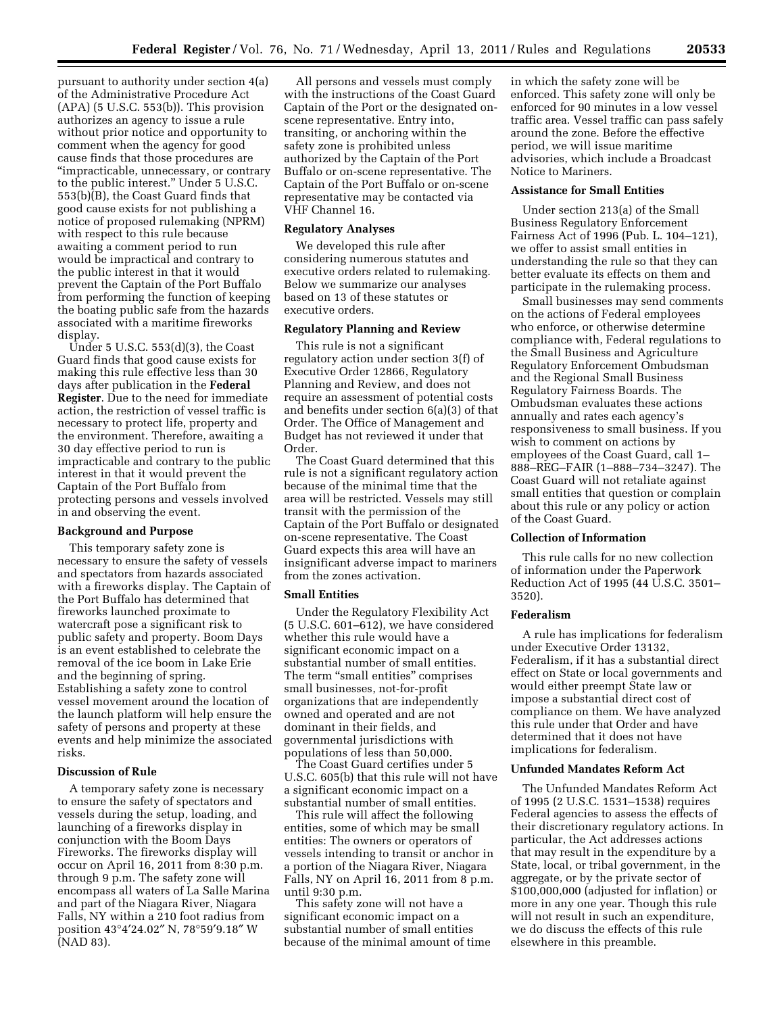pursuant to authority under section 4(a) of the Administrative Procedure Act  $(APA)$  (5 U.S.C. 553(b)). This provision authorizes an agency to issue a rule without prior notice and opportunity to comment when the agency for good cause finds that those procedures are ''impracticable, unnecessary, or contrary to the public interest.'' Under 5 U.S.C. 553(b)(B), the Coast Guard finds that good cause exists for not publishing a notice of proposed rulemaking (NPRM) with respect to this rule because awaiting a comment period to run would be impractical and contrary to the public interest in that it would prevent the Captain of the Port Buffalo from performing the function of keeping the boating public safe from the hazards associated with a maritime fireworks display.

Under 5 U.S.C. 553(d)(3), the Coast Guard finds that good cause exists for making this rule effective less than 30 days after publication in the **Federal Register**. Due to the need for immediate action, the restriction of vessel traffic is necessary to protect life, property and the environment. Therefore, awaiting a 30 day effective period to run is impracticable and contrary to the public interest in that it would prevent the Captain of the Port Buffalo from protecting persons and vessels involved in and observing the event.

### **Background and Purpose**

This temporary safety zone is necessary to ensure the safety of vessels and spectators from hazards associated with a fireworks display. The Captain of the Port Buffalo has determined that fireworks launched proximate to watercraft pose a significant risk to public safety and property. Boom Days is an event established to celebrate the removal of the ice boom in Lake Erie and the beginning of spring. Establishing a safety zone to control vessel movement around the location of the launch platform will help ensure the safety of persons and property at these events and help minimize the associated risks.

# **Discussion of Rule**

A temporary safety zone is necessary to ensure the safety of spectators and vessels during the setup, loading, and launching of a fireworks display in conjunction with the Boom Days Fireworks. The fireworks display will occur on April 16, 2011 from 8:30 p.m. through 9 p.m. The safety zone will encompass all waters of La Salle Marina and part of the Niagara River, Niagara Falls, NY within a 210 foot radius from position 43°4′24.02″ N, 78°59′9.18″ W (NAD 83).

All persons and vessels must comply with the instructions of the Coast Guard Captain of the Port or the designated onscene representative. Entry into, transiting, or anchoring within the safety zone is prohibited unless authorized by the Captain of the Port Buffalo or on-scene representative. The Captain of the Port Buffalo or on-scene representative may be contacted via VHF Channel 16.

# **Regulatory Analyses**

We developed this rule after considering numerous statutes and executive orders related to rulemaking. Below we summarize our analyses based on 13 of these statutes or executive orders.

### **Regulatory Planning and Review**

This rule is not a significant regulatory action under section 3(f) of Executive Order 12866, Regulatory Planning and Review, and does not require an assessment of potential costs and benefits under section 6(a)(3) of that Order. The Office of Management and Budget has not reviewed it under that Order.

The Coast Guard determined that this rule is not a significant regulatory action because of the minimal time that the area will be restricted. Vessels may still transit with the permission of the Captain of the Port Buffalo or designated on-scene representative. The Coast Guard expects this area will have an insignificant adverse impact to mariners from the zones activation.

#### **Small Entities**

Under the Regulatory Flexibility Act (5 U.S.C. 601–612), we have considered whether this rule would have a significant economic impact on a substantial number of small entities. The term "small entities" comprises small businesses, not-for-profit organizations that are independently owned and operated and are not dominant in their fields, and governmental jurisdictions with populations of less than 50,000.

The Coast Guard certifies under 5 U.S.C. 605(b) that this rule will not have a significant economic impact on a substantial number of small entities.

This rule will affect the following entities, some of which may be small entities: The owners or operators of vessels intending to transit or anchor in a portion of the Niagara River, Niagara Falls, NY on April 16, 2011 from 8 p.m. until 9:30 p.m.

This safety zone will not have a significant economic impact on a substantial number of small entities because of the minimal amount of time

in which the safety zone will be enforced. This safety zone will only be enforced for 90 minutes in a low vessel traffic area. Vessel traffic can pass safely around the zone. Before the effective period, we will issue maritime advisories, which include a Broadcast Notice to Mariners.

### **Assistance for Small Entities**

Under section 213(a) of the Small Business Regulatory Enforcement Fairness Act of 1996 (Pub. L. 104–121), we offer to assist small entities in understanding the rule so that they can better evaluate its effects on them and participate in the rulemaking process.

Small businesses may send comments on the actions of Federal employees who enforce, or otherwise determine compliance with, Federal regulations to the Small Business and Agriculture Regulatory Enforcement Ombudsman and the Regional Small Business Regulatory Fairness Boards. The Ombudsman evaluates these actions annually and rates each agency's responsiveness to small business. If you wish to comment on actions by employees of the Coast Guard, call 1– 888–REG–FAIR (1–888–734–3247). The Coast Guard will not retaliate against small entities that question or complain about this rule or any policy or action of the Coast Guard.

### **Collection of Information**

This rule calls for no new collection of information under the Paperwork Reduction Act of 1995 (44 U.S.C. 3501– 3520).

#### **Federalism**

A rule has implications for federalism under Executive Order 13132, Federalism, if it has a substantial direct effect on State or local governments and would either preempt State law or impose a substantial direct cost of compliance on them. We have analyzed this rule under that Order and have determined that it does not have implications for federalism.

#### **Unfunded Mandates Reform Act**

The Unfunded Mandates Reform Act of 1995 (2 U.S.C. 1531–1538) requires Federal agencies to assess the effects of their discretionary regulatory actions. In particular, the Act addresses actions that may result in the expenditure by a State, local, or tribal government, in the aggregate, or by the private sector of \$100,000,000 (adjusted for inflation) or more in any one year. Though this rule will not result in such an expenditure, we do discuss the effects of this rule elsewhere in this preamble.